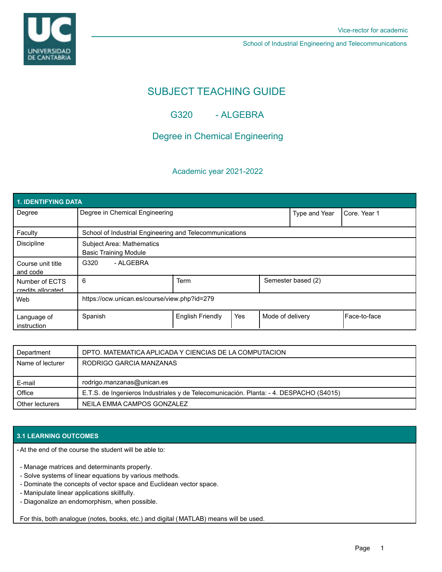UNIVERSIDAD<br>DE CANTABRIA

School of Industrial Engineering and Telecommunications

# SUBJECT TEACHING GUIDE

## G320 - ALGEBRA

## Degree in Chemical Engineering

### Academic year 2021-2022

| 1. IDENTIFYING DATA                 |                                                                  |                         |     |                    |               |              |  |  |  |
|-------------------------------------|------------------------------------------------------------------|-------------------------|-----|--------------------|---------------|--------------|--|--|--|
| Degree                              | Degree in Chemical Engineering                                   |                         |     |                    | Type and Year | Core, Year 1 |  |  |  |
| Faculty                             | School of Industrial Engineering and Telecommunications          |                         |     |                    |               |              |  |  |  |
| <b>Discipline</b>                   | <b>Subject Area: Mathematics</b><br><b>Basic Training Module</b> |                         |     |                    |               |              |  |  |  |
| Course unit title<br>and code       | - ALGEBRA<br>G320                                                |                         |     |                    |               |              |  |  |  |
| Number of ECTS<br>credits allocated | 6                                                                | <b>Term</b>             |     | Semester based (2) |               |              |  |  |  |
| Web                                 | https://ocw.unican.es/course/view.php?id=279                     |                         |     |                    |               |              |  |  |  |
| Language of<br>instruction          | Spanish                                                          | <b>English Friendly</b> | Yes | Mode of delivery   |               | Face-to-face |  |  |  |

| Department       | DPTO. MATEMATICA APLICADA Y CIENCIAS DE LA COMPUTACION                                 |  |  |
|------------------|----------------------------------------------------------------------------------------|--|--|
| Name of lecturer | RODRIGO GARCIA MANZANAS                                                                |  |  |
|                  |                                                                                        |  |  |
|                  |                                                                                        |  |  |
| E-mail           | rodrigo.manzanas@unican.es                                                             |  |  |
| Office           | E.T.S. de Ingenieros Industriales y de Telecomunicación. Planta: - 4. DESPACHO (S4015) |  |  |

### **3.1 LEARNING OUTCOMES**

At the end of the course the student will be able to: -

- Manage matrices and determinants properly.
- Solve systems of linear equations by various methods.
- Dominate the concepts of vector space and Euclidean vector space.
- Manipulate linear applications skillfully.
- Diagonalize an endomorphism, when possible.

For this, both analogue (notes, books, etc.) and digital (MATLAB) means will be used.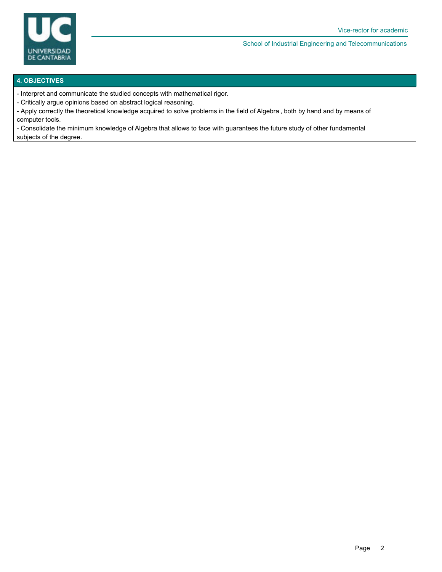

#### School of Industrial Engineering and Telecommunications

#### **4. OBJECTIVES**

- Interpret and communicate the studied concepts with mathematical rigor.
- Critically argue opinions based on abstract logical reasoning.
- Apply correctly the theoretical knowledge acquired to solve problems in the field of Algebra , both by hand and by means of computer tools.

- Consolidate the minimum knowledge of Algebra that allows to face with guarantees the future study of other fundamental subjects of the degree.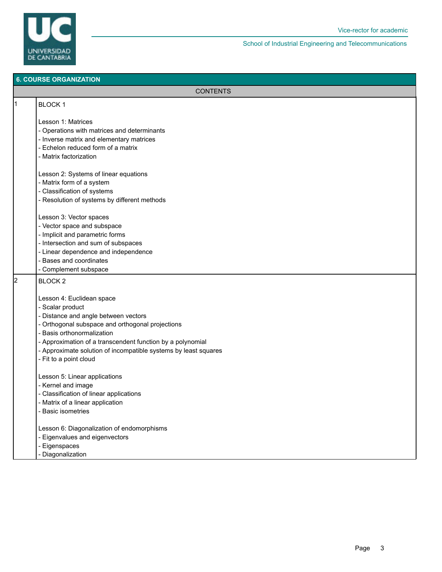

School of Industrial Engineering and Telecommunications

#### **6. COURSE ORGANIZATION**

| <b>6. COURSE ORGANIZATION</b> |                                                                 |  |  |
|-------------------------------|-----------------------------------------------------------------|--|--|
|                               | <b>CONTENTS</b>                                                 |  |  |
| 1                             | <b>BLOCK1</b>                                                   |  |  |
|                               | Lesson 1: Matrices                                              |  |  |
|                               | - Operations with matrices and determinants                     |  |  |
|                               | - Inverse matrix and elementary matrices                        |  |  |
|                               | - Echelon reduced form of a matrix                              |  |  |
|                               | - Matrix factorization                                          |  |  |
|                               | Lesson 2: Systems of linear equations                           |  |  |
|                               | - Matrix form of a system                                       |  |  |
|                               | - Classification of systems                                     |  |  |
|                               | - Resolution of systems by different methods                    |  |  |
|                               | Lesson 3: Vector spaces                                         |  |  |
|                               | - Vector space and subspace                                     |  |  |
|                               | - Implicit and parametric forms                                 |  |  |
|                               | - Intersection and sum of subspaces                             |  |  |
|                               | - Linear dependence and independence                            |  |  |
|                               | - Bases and coordinates                                         |  |  |
|                               | - Complement subspace                                           |  |  |
| 2                             | BLOCK <sub>2</sub>                                              |  |  |
|                               | Lesson 4: Euclidean space                                       |  |  |
|                               | - Scalar product                                                |  |  |
|                               | - Distance and angle between vectors                            |  |  |
|                               | - Orthogonal subspace and orthogonal projections                |  |  |
|                               | - Basis orthonormalization                                      |  |  |
|                               | - Approximation of a transcendent function by a polynomial      |  |  |
|                               | - Approximate solution of incompatible systems by least squares |  |  |
|                               | - Fit to a point cloud                                          |  |  |
|                               | Lesson 5: Linear applications                                   |  |  |
|                               | - Kernel and image                                              |  |  |
|                               | - Classification of linear applications                         |  |  |
|                               | - Matrix of a linear application                                |  |  |
|                               | - Basic isometries                                              |  |  |
|                               | Lesson 6: Diagonalization of endomorphisms                      |  |  |
|                               | - Eigenvalues and eigenvectors                                  |  |  |
|                               | - Eigenspaces                                                   |  |  |
|                               | - Diagonalization                                               |  |  |